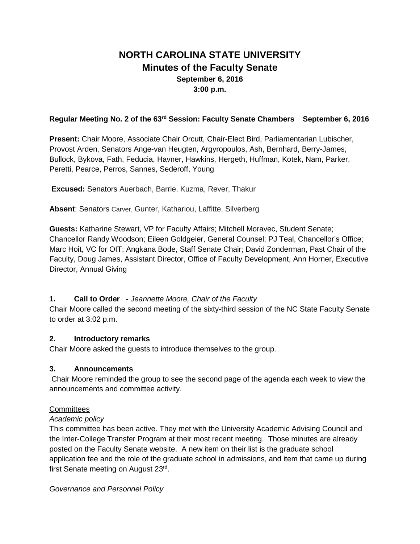# **NORTH CAROLINA STATE UNIVERSITY Minutes of the Faculty Senate September 6, 2016 3:00 p.m.**

## **Regular Meeting No. 2 of the 63rd Session: Faculty Senate Chambers September 6, 2016**

**Present:** Chair Moore, Associate Chair Orcutt, Chair-Elect Bird, Parliamentarian Lubischer, Provost Arden, Senators Ange-van Heugten, Argyropoulos, Ash, Bernhard, Berry-James, Bullock, Bykova, Fath, Feducia, Havner, Hawkins, Hergeth, Huffman, Kotek, Nam, Parker, Peretti, Pearce, Perros, Sannes, Sederoff, Young

**Excused:** Senators Auerbach, Barrie, Kuzma, Rever, Thakur

**Absent**: Senators Carver, Gunter, Kathariou, Laffitte, Silverberg

**Guests:** Katharine Stewart, VP for Faculty Affairs; Mitchell Moravec, Student Senate; Chancellor Randy Woodson; Eileen Goldgeier, General Counsel; PJ Teal, Chancellor's Office; Marc Hoit, VC for OIT; Angkana Bode, Staff Senate Chair; David Zonderman, Past Chair of the Faculty, Doug James, Assistant Director, Office of Faculty Development, Ann Horner, Executive Director, Annual Giving

# **1. Call to Order -** *Jeannette Moore, Chair of the Faculty*

Chair Moore called the second meeting of the sixty-third session of the NC State Faculty Senate to order at 3:02 p.m.

### **2. Introductory remarks**

Chair Moore asked the guests to introduce themselves to the group.

### **3. Announcements**

Chair Moore reminded the group to see the second page of the agenda each week to view the announcements and committee activity.

# **Committees**

# *Academic policy*

This committee has been active. They met with the University Academic Advising Council and the Inter-College Transfer Program at their most recent meeting. Those minutes are already posted on the Faculty Senate website. A new item on their list is the graduate school application fee and the role of the graduate school in admissions, and item that came up during first Senate meeting on August 23rd.

*Governance and Personnel Policy*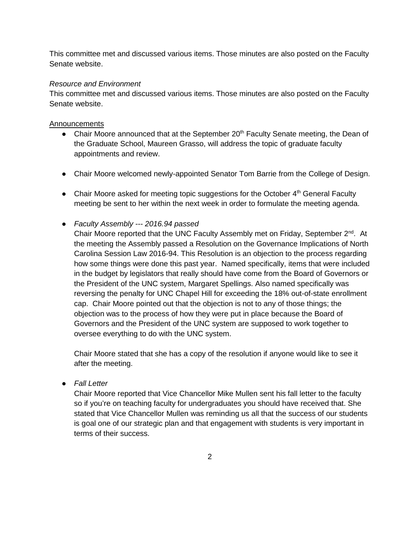This committee met and discussed various items. Those minutes are also posted on the Faculty Senate website.

### *Resource and Environment*

This committee met and discussed various items. Those minutes are also posted on the Faculty Senate website.

#### Announcements

- Chair Moore announced that at the September  $20<sup>th</sup>$  Faculty Senate meeting, the Dean of the Graduate School, Maureen Grasso, will address the topic of graduate faculty appointments and review.
- Chair Moore welcomed newly-appointed Senator Tom Barrie from the College of Design.
- Chair Moore asked for meeting topic suggestions for the October 4<sup>th</sup> General Faculty meeting be sent to her within the next week in order to formulate the meeting agenda.
- *Faculty Assembly --- 2016.94 passed*

Chair Moore reported that the UNC Faculty Assembly met on Friday, September 2<sup>nd</sup>. At the meeting the Assembly passed a Resolution on the Governance Implications of North Carolina Session Law 2016-94. This Resolution is an objection to the process regarding how some things were done this past year. Named specifically, items that were included in the budget by legislators that really should have come from the Board of Governors or the President of the UNC system, Margaret Spellings. Also named specifically was reversing the penalty for UNC Chapel Hill for exceeding the 18% out-of-state enrollment cap. Chair Moore pointed out that the objection is not to any of those things; the objection was to the process of how they were put in place because the Board of Governors and the President of the UNC system are supposed to work together to oversee everything to do with the UNC system.

Chair Moore stated that she has a copy of the resolution if anyone would like to see it after the meeting.

● *Fall Letter*

Chair Moore reported that Vice Chancellor Mike Mullen sent his fall letter to the faculty so if you're on teaching faculty for undergraduates you should have received that. She stated that Vice Chancellor Mullen was reminding us all that the success of our students is goal one of our strategic plan and that engagement with students is very important in terms of their success.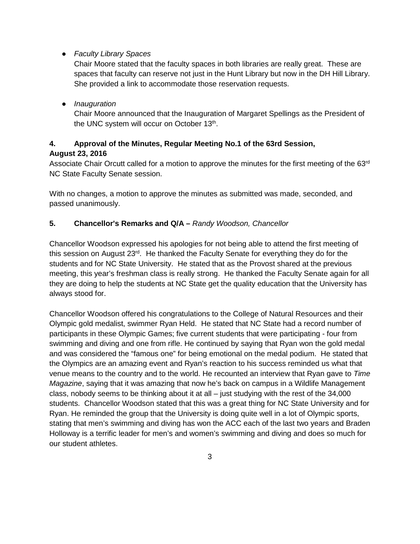● *Faculty Library Spaces*

Chair Moore stated that the faculty spaces in both libraries are really great. These are spaces that faculty can reserve not just in the Hunt Library but now in the DH Hill Library. She provided a link to accommodate those reservation requests.

● *Inauguration*

Chair Moore announced that the Inauguration of Margaret Spellings as the President of the UNC system will occur on October 13<sup>th</sup>.

# **4. Approval of the Minutes, Regular Meeting No.1 of the 63rd Session, August 23, 2016**

Associate Chair Orcutt called for a motion to approve the minutes for the first meeting of the 63<sup>rd</sup> NC State Faculty Senate session.

With no changes, a motion to approve the minutes as submitted was made, seconded, and passed unanimously.

### **5. Chancellor's Remarks and Q/A –** *Randy Woodson, Chancellor*

Chancellor Woodson expressed his apologies for not being able to attend the first meeting of this session on August 23rd. He thanked the Faculty Senate for everything they do for the students and for NC State University. He stated that as the Provost shared at the previous meeting, this year's freshman class is really strong. He thanked the Faculty Senate again for all they are doing to help the students at NC State get the quality education that the University has always stood for.

Chancellor Woodson offered his congratulations to the College of Natural Resources and their Olympic gold medalist, swimmer Ryan Held. He stated that NC State had a record number of participants in these Olympic Games; five current students that were participating - four from swimming and diving and one from rifle. He continued by saying that Ryan won the gold medal and was considered the "famous one" for being emotional on the medal podium. He stated that the Olympics are an amazing event and Ryan's reaction to his success reminded us what that venue means to the country and to the world. He recounted an interview that Ryan gave to *Time Magazine*, saying that it was amazing that now he's back on campus in a Wildlife Management class, nobody seems to be thinking about it at all – just studying with the rest of the 34,000 students. Chancellor Woodson stated that this was a great thing for NC State University and for Ryan. He reminded the group that the University is doing quite well in a lot of Olympic sports, stating that men's swimming and diving has won the ACC each of the last two years and Braden Holloway is a terrific leader for men's and women's swimming and diving and does so much for our student athletes.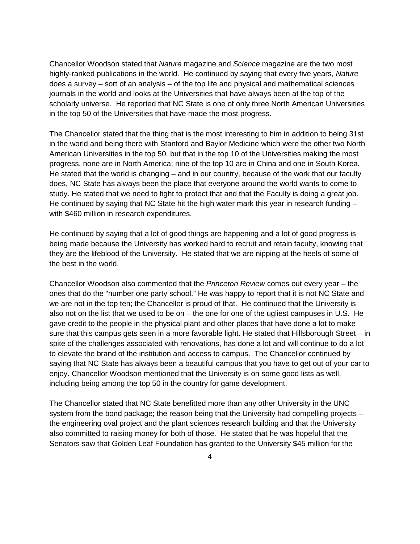Chancellor Woodson stated that *Nature* magazine and *Science* magazine are the two most highly-ranked publications in the world. He continued by saying that every five years, *Nature* does a survey – sort of an analysis – of the top life and physical and mathematical sciences journals in the world and looks at the Universities that have always been at the top of the scholarly universe. He reported that NC State is one of only three North American Universities in the top 50 of the Universities that have made the most progress.

The Chancellor stated that the thing that is the most interesting to him in addition to being 31st in the world and being there with Stanford and Baylor Medicine which were the other two North American Universities in the top 50, but that in the top 10 of the Universities making the most progress, none are in North America; nine of the top 10 are in China and one in South Korea. He stated that the world is changing – and in our country, because of the work that our faculty does, NC State has always been the place that everyone around the world wants to come to study. He stated that we need to fight to protect that and that the Faculty is doing a great job. He continued by saying that NC State hit the high water mark this year in research funding with \$460 million in research expenditures.

He continued by saying that a lot of good things are happening and a lot of good progress is being made because the University has worked hard to recruit and retain faculty, knowing that they are the lifeblood of the University. He stated that we are nipping at the heels of some of the best in the world.

Chancellor Woodson also commented that the *Princeton Review* comes out every year – the ones that do the "number one party school." He was happy to report that it is not NC State and we are not in the top ten; the Chancellor is proud of that. He continued that the University is also not on the list that we used to be on – the one for one of the ugliest campuses in U.S. He gave credit to the people in the physical plant and other places that have done a lot to make sure that this campus gets seen in a more favorable light. He stated that Hillsborough Street – in spite of the challenges associated with renovations, has done a lot and will continue to do a lot to elevate the brand of the institution and access to campus. The Chancellor continued by saying that NC State has always been a beautiful campus that you have to get out of your car to enjoy. Chancellor Woodson mentioned that the University is on some good lists as well, including being among the top 50 in the country for game development.

The Chancellor stated that NC State benefitted more than any other University in the UNC system from the bond package; the reason being that the University had compelling projects – the engineering oval project and the plant sciences research building and that the University also committed to raising money for both of those. He stated that he was hopeful that the Senators saw that Golden Leaf Foundation has granted to the University \$45 million for the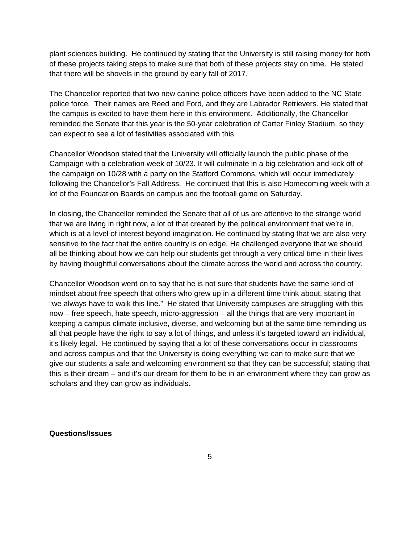plant sciences building. He continued by stating that the University is still raising money for both of these projects taking steps to make sure that both of these projects stay on time. He stated that there will be shovels in the ground by early fall of 2017.

The Chancellor reported that two new canine police officers have been added to the NC State police force. Their names are Reed and Ford, and they are Labrador Retrievers. He stated that the campus is excited to have them here in this environment. Additionally, the Chancellor reminded the Senate that this year is the 50-year celebration of Carter Finley Stadium, so they can expect to see a lot of festivities associated with this.

Chancellor Woodson stated that the University will officially launch the public phase of the Campaign with a celebration week of 10/23. It will culminate in a big celebration and kick off of the campaign on 10/28 with a party on the Stafford Commons, which will occur immediately following the Chancellor's Fall Address. He continued that this is also Homecoming week with a lot of the Foundation Boards on campus and the football game on Saturday.

In closing, the Chancellor reminded the Senate that all of us are attentive to the strange world that we are living in right now, a lot of that created by the political environment that we're in, which is at a level of interest beyond imagination. He continued by stating that we are also very sensitive to the fact that the entire country is on edge. He challenged everyone that we should all be thinking about how we can help our students get through a very critical time in their lives by having thoughtful conversations about the climate across the world and across the country.

Chancellor Woodson went on to say that he is not sure that students have the same kind of mindset about free speech that others who grew up in a different time think about, stating that "we always have to walk this line." He stated that University campuses are struggling with this now – free speech, hate speech, micro-aggression – all the things that are very important in keeping a campus climate inclusive, diverse, and welcoming but at the same time reminding us all that people have the right to say a lot of things, and unless it's targeted toward an individual, it's likely legal. He continued by saying that a lot of these conversations occur in classrooms and across campus and that the University is doing everything we can to make sure that we give our students a safe and welcoming environment so that they can be successful; stating that this is their dream – and it's our dream for them to be in an environment where they can grow as scholars and they can grow as individuals.

#### **Questions/Issues**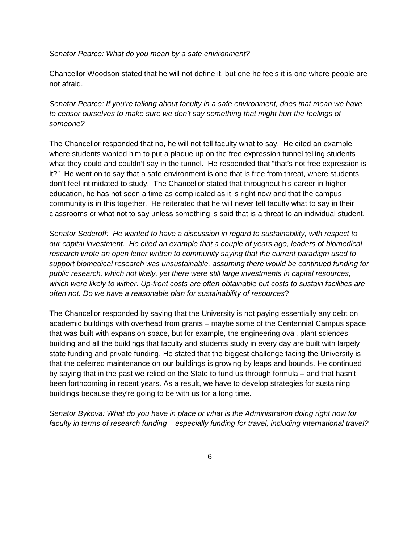*Senator Pearce: What do you mean by a safe environment?* 

Chancellor Woodson stated that he will not define it, but one he feels it is one where people are not afraid.

*Senator Pearce: If you're talking about faculty in a safe environment, does that mean we have to censor ourselves to make sure we don't say something that might hurt the feelings of someone?*

The Chancellor responded that no, he will not tell faculty what to say. He cited an example where students wanted him to put a plaque up on the free expression tunnel telling students what they could and couldn't say in the tunnel. He responded that "that's not free expression is it?" He went on to say that a safe environment is one that is free from threat, where students don't feel intimidated to study. The Chancellor stated that throughout his career in higher education, he has not seen a time as complicated as it is right now and that the campus community is in this together. He reiterated that he will never tell faculty what to say in their classrooms or what not to say unless something is said that is a threat to an individual student.

*Senator Sederoff: He wanted to have a discussion in regard to sustainability, with respect to our capital investment. He cited an example that a couple of years ago, leaders of biomedical research wrote an open letter written to community saying that the current paradigm used to support biomedical research was unsustainable, assuming there would be continued funding for public research, which not likely, yet there were still large investments in capital resources, which were likely to wither. Up-front costs are often obtainable but costs to sustain facilities are often not. Do we have a reasonable plan for sustainability of resources*?

The Chancellor responded by saying that the University is not paying essentially any debt on academic buildings with overhead from grants – maybe some of the Centennial Campus space that was built with expansion space, but for example, the engineering oval, plant sciences building and all the buildings that faculty and students study in every day are built with largely state funding and private funding. He stated that the biggest challenge facing the University is that the deferred maintenance on our buildings is growing by leaps and bounds. He continued by saying that in the past we relied on the State to fund us through formula – and that hasn't been forthcoming in recent years. As a result, we have to develop strategies for sustaining buildings because they're going to be with us for a long time.

*Senator Bykova: What do you have in place or what is the Administration doing right now for faculty in terms of research funding – especially funding for travel, including international travel?*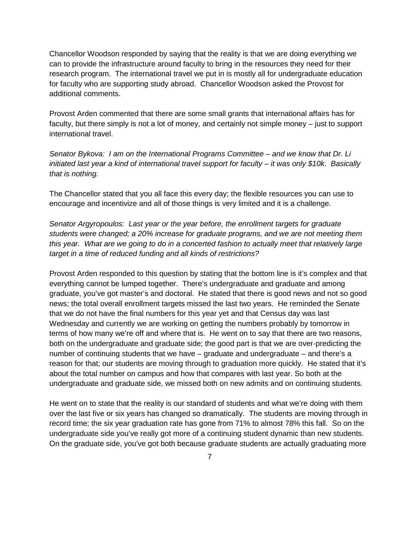Chancellor Woodson responded by saying that the reality is that we are doing everything we can to provide the infrastructure around faculty to bring in the resources they need for their research program. The international travel we put in is mostly all for undergraduate education for faculty who are supporting study abroad. Chancellor Woodson asked the Provost for additional comments.

Provost Arden commented that there are some small grants that international affairs has for faculty, but there simply is not a lot of money, and certainly not simple money – just to support international travel.

*Senator Bykova: I am on the International Programs Committee – and we know that Dr. Li initiated last year a kind of international travel support for faculty – it was only \$10k. Basically that is nothing.*

The Chancellor stated that you all face this every day; the flexible resources you can use to encourage and incentivize and all of those things is very limited and it is a challenge.

*Senator Argyropoulos: Last year or the year before, the enrollment targets for graduate students were changed; a 20% increase for graduate programs, and we are not meeting them this year. What are we going to do in a concerted fashion to actually meet that relatively large target in a time of reduced funding and all kinds of restrictions?* 

Provost Arden responded to this question by stating that the bottom line is it's complex and that everything cannot be lumped together. There's undergraduate and graduate and among graduate, you've got master's and doctoral. He stated that there is good news and not so good news; the total overall enrollment targets missed the last two years. He reminded the Senate that we do not have the final numbers for this year yet and that Census day was last Wednesday and currently we are working on getting the numbers probably by tomorrow in terms of how many we're off and where that is. He went on to say that there are two reasons, both on the undergraduate and graduate side; the good part is that we are over-predicting the number of continuing students that we have – graduate and undergraduate – and there's a reason for that; our students are moving through to graduation more quickly. He stated that it's about the total number on campus and how that compares with last year. So both at the undergraduate and graduate side, we missed both on new admits and on continuing students.

He went on to state that the reality is our standard of students and what we're doing with them over the last five or six years has changed so dramatically. The students are moving through in record time; the six year graduation rate has gone from 71% to almost 78% this fall. So on the undergraduate side you've really got more of a continuing student dynamic than new students. On the graduate side, you've got both because graduate students are actually graduating more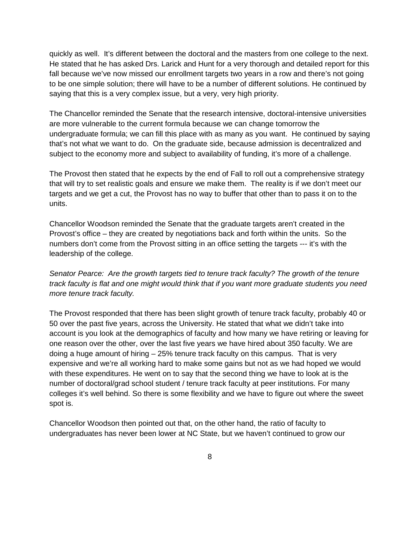quickly as well. It's different between the doctoral and the masters from one college to the next. He stated that he has asked Drs. Larick and Hunt for a very thorough and detailed report for this fall because we've now missed our enrollment targets two years in a row and there's not going to be one simple solution; there will have to be a number of different solutions. He continued by saying that this is a very complex issue, but a very, very high priority.

The Chancellor reminded the Senate that the research intensive, doctoral-intensive universities are more vulnerable to the current formula because we can change tomorrow the undergraduate formula; we can fill this place with as many as you want. He continued by saying that's not what we want to do. On the graduate side, because admission is decentralized and subject to the economy more and subject to availability of funding, it's more of a challenge.

The Provost then stated that he expects by the end of Fall to roll out a comprehensive strategy that will try to set realistic goals and ensure we make them. The reality is if we don't meet our targets and we get a cut, the Provost has no way to buffer that other than to pass it on to the units.

Chancellor Woodson reminded the Senate that the graduate targets aren't created in the Provost's office – they are created by negotiations back and forth within the units. So the numbers don't come from the Provost sitting in an office setting the targets --- it's with the leadership of the college.

*Senator Pearce: Are the growth targets tied to tenure track faculty? The growth of the tenure track faculty is flat and one might would think that if you want more graduate students you need more tenure track faculty.*

The Provost responded that there has been slight growth of tenure track faculty, probably 40 or 50 over the past five years, across the University. He stated that what we didn't take into account is you look at the demographics of faculty and how many we have retiring or leaving for one reason over the other, over the last five years we have hired about 350 faculty. We are doing a huge amount of hiring – 25% tenure track faculty on this campus. That is very expensive and we're all working hard to make some gains but not as we had hoped we would with these expenditures. He went on to say that the second thing we have to look at is the number of doctoral/grad school student / tenure track faculty at peer institutions. For many colleges it's well behind. So there is some flexibility and we have to figure out where the sweet spot is.

Chancellor Woodson then pointed out that, on the other hand, the ratio of faculty to undergraduates has never been lower at NC State, but we haven't continued to grow our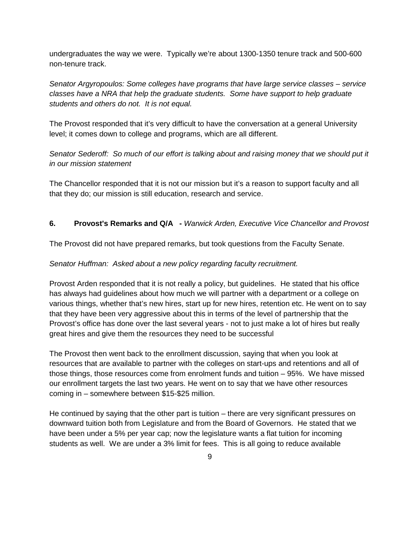undergraduates the way we were. Typically we're about 1300-1350 tenure track and 500-600 non-tenure track.

*Senator Argyropoulos: Some colleges have programs that have large service classes – service classes have a NRA that help the graduate students. Some have support to help graduate students and others do not. It is not equal.*

The Provost responded that it's very difficult to have the conversation at a general University level; it comes down to college and programs, which are all different.

*Senator Sederoff: So much of our effort is talking about and raising money that we should put it in our mission statement*

The Chancellor responded that it is not our mission but it's a reason to support faculty and all that they do; our mission is still education, research and service.

### **6. Provost's Remarks and Q/A -** *Warwick Arden, Executive Vice Chancellor and Provost*

The Provost did not have prepared remarks, but took questions from the Faculty Senate.

#### *Senator Huffman: Asked about a new policy regarding faculty recruitment.*

Provost Arden responded that it is not really a policy, but guidelines. He stated that his office has always had guidelines about how much we will partner with a department or a college on various things, whether that's new hires, start up for new hires, retention etc. He went on to say that they have been very aggressive about this in terms of the level of partnership that the Provost's office has done over the last several years - not to just make a lot of hires but really great hires and give them the resources they need to be successful

The Provost then went back to the enrollment discussion, saying that when you look at resources that are available to partner with the colleges on start-ups and retentions and all of those things, those resources come from enrolment funds and tuition – 95%. We have missed our enrollment targets the last two years. He went on to say that we have other resources coming in – somewhere between \$15-\$25 million.

He continued by saying that the other part is tuition – there are very significant pressures on downward tuition both from Legislature and from the Board of Governors. He stated that we have been under a 5% per year cap; now the legislature wants a flat tuition for incoming students as well. We are under a 3% limit for fees. This is all going to reduce available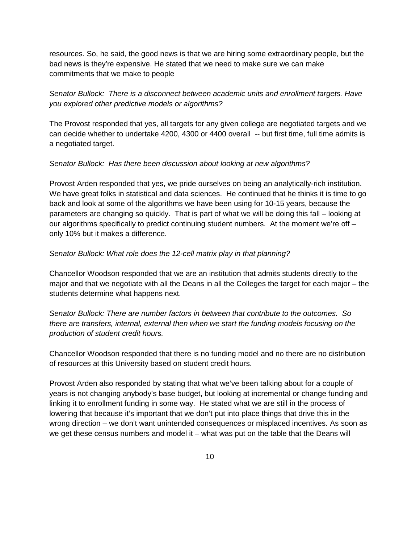resources. So, he said, the good news is that we are hiring some extraordinary people, but the bad news is they're expensive. He stated that we need to make sure we can make commitments that we make to people

*Senator Bullock: There is a disconnect between academic units and enrollment targets. Have you explored other predictive models or algorithms?*

The Provost responded that yes, all targets for any given college are negotiated targets and we can decide whether to undertake 4200, 4300 or 4400 overall -- but first time, full time admits is a negotiated target.

#### *Senator Bullock: Has there been discussion about looking at new algorithms?*

Provost Arden responded that yes, we pride ourselves on being an analytically-rich institution. We have great folks in statistical and data sciences. He continued that he thinks it is time to go back and look at some of the algorithms we have been using for 10-15 years, because the parameters are changing so quickly. That is part of what we will be doing this fall – looking at our algorithms specifically to predict continuing student numbers. At the moment we're off – only 10% but it makes a difference.

#### *Senator Bullock: What role does the 12-cell matrix play in that planning?*

Chancellor Woodson responded that we are an institution that admits students directly to the major and that we negotiate with all the Deans in all the Colleges the target for each major – the students determine what happens next.

*Senator Bullock: There are number factors in between that contribute to the outcomes. So there are transfers, internal, external then when we start the funding models focusing on the production of student credit hours.* 

Chancellor Woodson responded that there is no funding model and no there are no distribution of resources at this University based on student credit hours.

Provost Arden also responded by stating that what we've been talking about for a couple of years is not changing anybody's base budget, but looking at incremental or change funding and linking it to enrollment funding in some way. He stated what we are still in the process of lowering that because it's important that we don't put into place things that drive this in the wrong direction – we don't want unintended consequences or misplaced incentives. As soon as we get these census numbers and model it – what was put on the table that the Deans will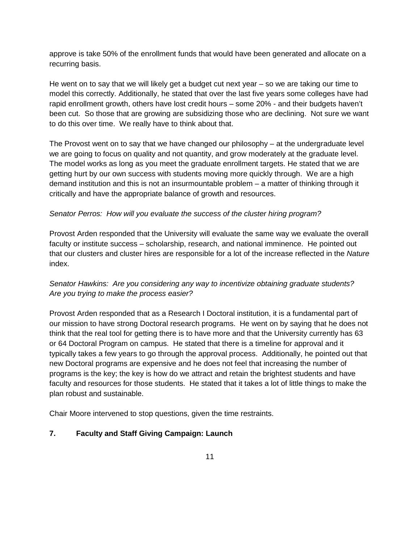approve is take 50% of the enrollment funds that would have been generated and allocate on a recurring basis.

He went on to say that we will likely get a budget cut next year – so we are taking our time to model this correctly. Additionally, he stated that over the last five years some colleges have had rapid enrollment growth, others have lost credit hours – some 20% - and their budgets haven't been cut. So those that are growing are subsidizing those who are declining. Not sure we want to do this over time. We really have to think about that.

The Provost went on to say that we have changed our philosophy – at the undergraduate level we are going to focus on quality and not quantity, and grow moderately at the graduate level. The model works as long as you meet the graduate enrollment targets. He stated that we are getting hurt by our own success with students moving more quickly through. We are a high demand institution and this is not an insurmountable problem – a matter of thinking through it critically and have the appropriate balance of growth and resources.

### *Senator Perros: How will you evaluate the success of the cluster hiring program?*

Provost Arden responded that the University will evaluate the same way we evaluate the overall faculty or institute success – scholarship, research, and national imminence. He pointed out that our clusters and cluster hires are responsible for a lot of the increase reflected in the *Nature* index.

# *Senator Hawkins: Are you considering any way to incentivize obtaining graduate students? Are you trying to make the process easier?*

Provost Arden responded that as a Research I Doctoral institution, it is a fundamental part of our mission to have strong Doctoral research programs. He went on by saying that he does not think that the real tool for getting there is to have more and that the University currently has 63 or 64 Doctoral Program on campus. He stated that there is a timeline for approval and it typically takes a few years to go through the approval process. Additionally, he pointed out that new Doctoral programs are expensive and he does not feel that increasing the number of programs is the key; the key is how do we attract and retain the brightest students and have faculty and resources for those students. He stated that it takes a lot of little things to make the plan robust and sustainable.

Chair Moore intervened to stop questions, given the time restraints.

# **7. Faculty and Staff Giving Campaign: Launch**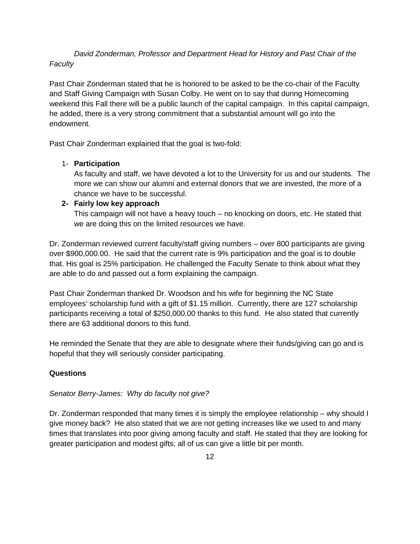*David Zonderman, Professor and Department Head for History and Past Chair of the Faculty*

Past Chair Zonderman stated that he is honored to be asked to be the co-chair of the Faculty and Staff Giving Campaign with Susan Colby. He went on to say that during Homecoming weekend this Fall there will be a public launch of the capital campaign. In this capital campaign, he added, there is a very strong commitment that a substantial amount will go into the endowment.

Past Chair Zonderman explained that the goal is two-fold:

### 1- **Participation**

As faculty and staff, we have devoted a lot to the University for us and our students. The more we can show our alumni and external donors that we are invested, the more of a chance we have to be successful.

### **2- Fairly low key approach**

This campaign will not have a heavy touch – no knocking on doors, etc. He stated that we are doing this on the limited resources we have.

Dr. Zonderman reviewed current faculty/staff giving numbers – over 800 participants are giving over \$900,000.00. He said that the current rate is 9% participation and the goal is to double that. His goal is 25% participation. He challenged the Faculty Senate to think about what they are able to do and passed out a form explaining the campaign.

Past Chair Zonderman thanked Dr. Woodson and his wife for beginning the NC State employees' scholarship fund with a gift of \$1.15 million. Currently, there are 127 scholarship participants receiving a total of \$250,000.00 thanks to this fund. He also stated that currently there are 63 additional donors to this fund.

He reminded the Senate that they are able to designate where their funds/giving can go and is hopeful that they will seriously consider participating.

# **Questions**

### *Senator Berry-James: Why do faculty not give?*

Dr. Zonderman responded that many times it is simply the employee relationship – why should I give money back? He also stated that we are not getting increases like we used to and many times that translates into poor giving among faculty and staff. He stated that they are looking for greater participation and modest gifts; all of us can give a little bit per month.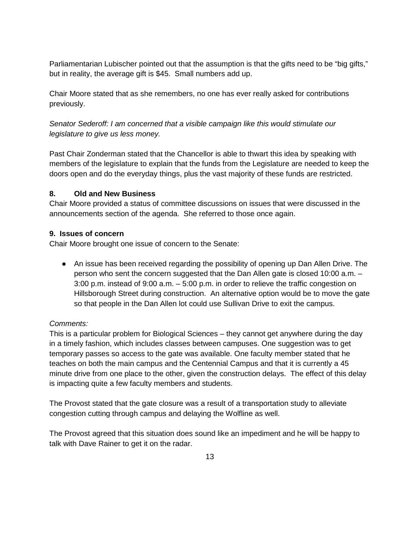Parliamentarian Lubischer pointed out that the assumption is that the gifts need to be "big gifts," but in reality, the average gift is \$45. Small numbers add up.

Chair Moore stated that as she remembers, no one has ever really asked for contributions previously.

# *Senator Sederoff: I am concerned that a visible campaign like this would stimulate our legislature to give us less money.*

Past Chair Zonderman stated that the Chancellor is able to thwart this idea by speaking with members of the legislature to explain that the funds from the Legislature are needed to keep the doors open and do the everyday things, plus the vast majority of these funds are restricted.

### **8. Old and New Business**

Chair Moore provided a status of committee discussions on issues that were discussed in the announcements section of the agenda. She referred to those once again.

### **9. Issues of concern**

Chair Moore brought one issue of concern to the Senate:

• An issue has been received regarding the possibility of opening up Dan Allen Drive. The person who sent the concern suggested that the Dan Allen gate is closed 10:00 a.m. – 3:00 p.m. instead of 9:00 a.m. – 5:00 p.m. in order to relieve the traffic congestion on Hillsborough Street during construction. An alternative option would be to move the gate so that people in the Dan Allen lot could use Sullivan Drive to exit the campus.

# *Comments:*

This is a particular problem for Biological Sciences – they cannot get anywhere during the day in a timely fashion, which includes classes between campuses. One suggestion was to get temporary passes so access to the gate was available. One faculty member stated that he teaches on both the main campus and the Centennial Campus and that it is currently a 45 minute drive from one place to the other, given the construction delays. The effect of this delay is impacting quite a few faculty members and students.

The Provost stated that the gate closure was a result of a transportation study to alleviate congestion cutting through campus and delaying the Wolfline as well.

The Provost agreed that this situation does sound like an impediment and he will be happy to talk with Dave Rainer to get it on the radar.